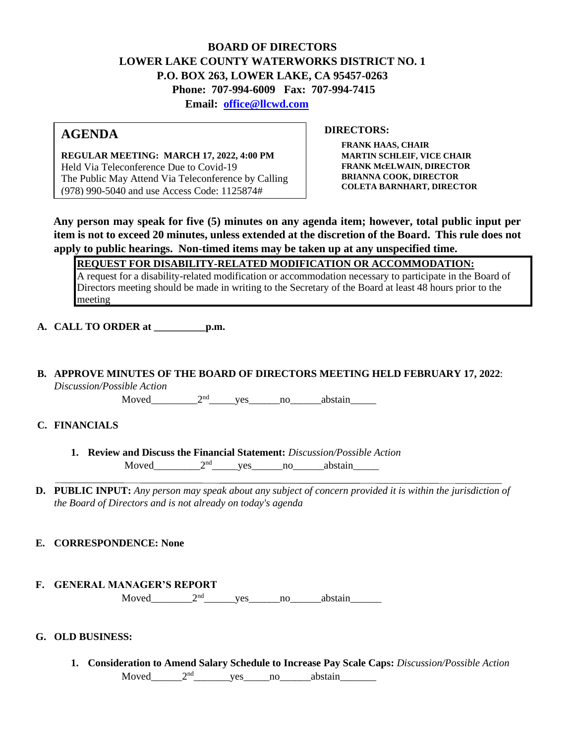## **BOARD OF DIRECTORS LOWER LAKE COUNTY WATERWORKS DISTRICT NO. 1 P.O. BOX 263, LOWER LAKE, CA 95457-0263 Phone: 707-994-6009 Fax: 707-994-7415 Email: office@llcwd.com**

# **AGENDA**

**REGULAR MEETING: MARCH 17, 2022, 4:00 PM**  Held Via Teleconference Due to Covid-19 The Public May Attend Via Teleconference by Calling (978) 990-5040 and use Access Code: 1125874#

**DIRECTORS:** 

**FRANK HAAS, CHAIR MARTIN SCHLEIF, VICE CHAIR FRANK McELWAIN, DIRECTOR BRIANNA COOK, DIRECTOR COLETA BARNHART, DIRECTOR**

**Any person may speak for five (5) minutes on any agenda item; however, total public input per item is not to exceed 20 minutes, unless extended at the discretion of the Board. This rule does not apply to public hearings. Non-timed items may be taken up at any unspecified time.** 

**REQUEST FOR DISABILITY-RELATED MODIFICATION OR ACCOMMODATION:**

A request for a disability-related modification or accommodation necessary to participate in the Board of Directors meeting should be made in writing to the Secretary of the Board at least 48 hours prior to the meeting

**A. CALL TO ORDER at \_\_\_\_\_\_\_\_\_\_p.m.** 

**B. APPROVE MINUTES OF THE BOARD OF DIRECTORS MEETING HELD FEBRUARY 17, 2022**: *Discussion/Possible Action*

Moved  $2<sup>nd</sup>$  yes no abstain

## **C. FINANCIALS**

- **1. Review and Discuss the Financial Statement:** *Discussion/Possible Action* Moved  $2<sup>nd</sup>$  yes no abstain
- **D. PUBLIC INPUT:** *Any person may speak about any subject of concern provided it is within the jurisdiction of the Board of Directors and is not already on today's agenda*
- **E. CORRESPONDENCE: None**
- **F. GENERAL MANAGER'S REPORT** Moved  $2<sup>nd</sup>$  yes no abstain

## **G. OLD BUSINESS:**

**1. Consideration to Amend Salary Schedule to Increase Pay Scale Caps:** *Discussion/Possible Action* Moved\_\_\_\_\_\_\_2<sup>nd</sup>\_\_\_\_\_\_\_\_yes\_\_\_\_\_no\_\_\_\_\_\_abstain\_\_\_\_\_\_\_\_